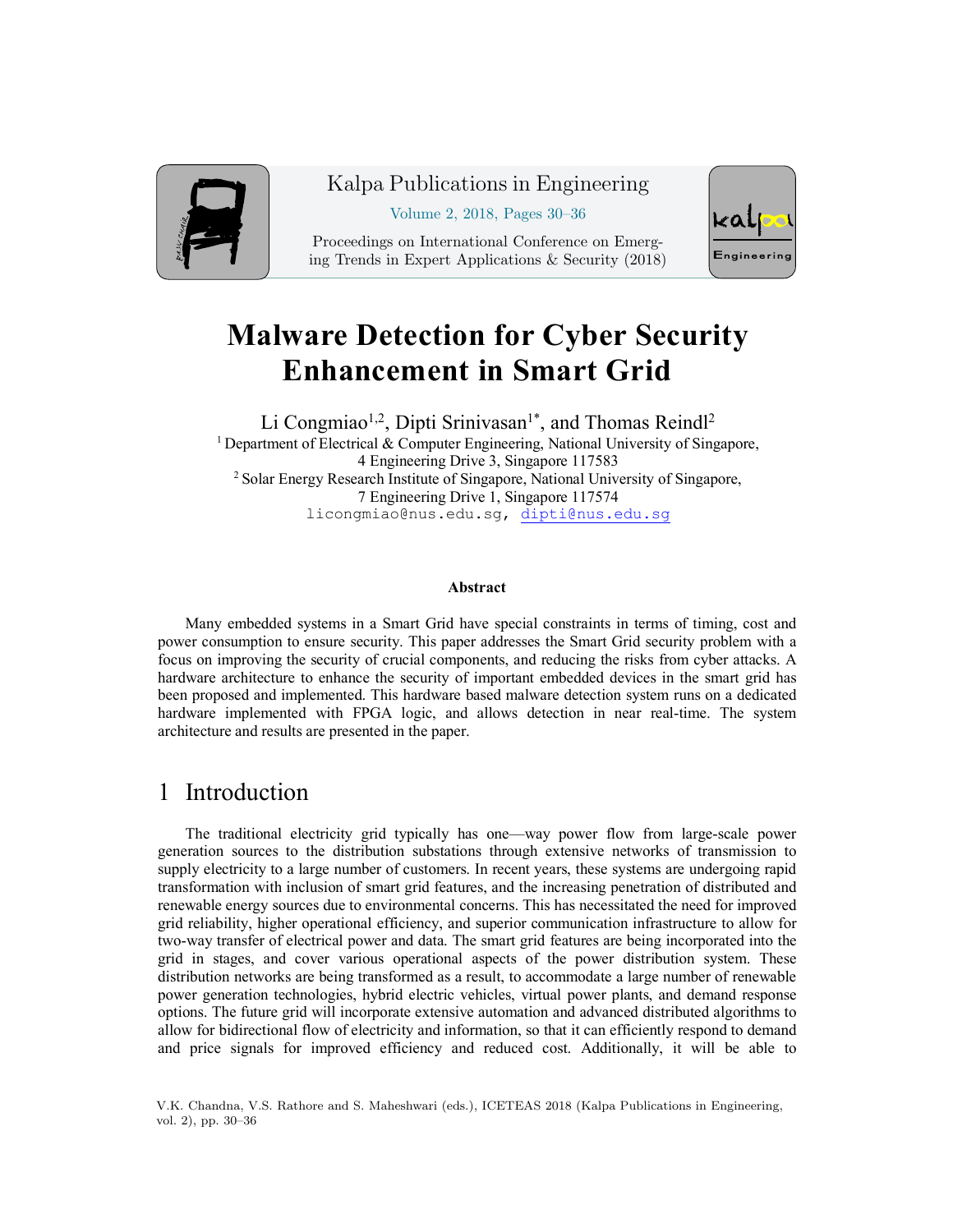

#### Kalpa Publications in Engineering

Volume 2, 2018, Pages 30–36

Proceedings on International Conference on Emerging Trends in Expert Applications & Security (2018)



# **Malware Detection for Cyber Security Enhancement in Smart Grid**

Li Congmiao<sup>1,2</sup>, Dipti Srinivasan<sup>1\*</sup>, and Thomas Reindl<sup>2</sup> <sup>1</sup> Department of Electrical & Computer Engineering, National University of Singapore, 4 Engineering Drive 3, Singapore 117583 <sup>2</sup> Solar Energy Research Institute of Singapore, National University of Singapore, 7 Engineering Drive 1, Singapore 117574 licongmiao@nus.edu.sg, dipti@nus.edu.sg

#### **Abstract**

Many embedded systems in a Smart Grid have special constraints in terms of timing, cost and power consumption to ensure security. This paper addresses the Smart Grid security problem with a focus on improving the security of crucial components, and reducing the risks from cyber attacks. A hardware architecture to enhance the security of important embedded devices in the smart grid has been proposed and implemented. This hardware based malware detection system runs on a dedicated hardware implemented with FPGA logic, and allows detection in near real-time. The system architecture and results are presented in the paper.

# 1 Introduction

The traditional electricity grid typically has one—way power flow from large-scale power generation sources to the distribution substations through extensive networks of transmission to supply electricity to a large number of customers. In recent years, these systems are undergoing rapid transformation with inclusion of smart grid features, and the increasing penetration of distributed and renewable energy sources due to environmental concerns. This has necessitated the need for improved grid reliability, higher operational efficiency, and superior communication infrastructure to allow for two-way transfer of electrical power and data. The smart grid features are being incorporated into the grid in stages, and cover various operational aspects of the power distribution system. These distribution networks are being transformed as a result, to accommodate a large number of renewable power generation technologies, hybrid electric vehicles, virtual power plants, and demand response options. The future grid will incorporate extensive automation and advanced distributed algorithms to allow for bidirectional flow of electricity and information, so that it can efficiently respond to demand and price signals for improved efficiency and reduced cost. Additionally, it will be able to

V.K. Chandna, V.S. Rathore and S. Maheshwari (eds.), ICETEAS 2018 (Kalpa Publications in Engineering, vol. 2), pp. 30–36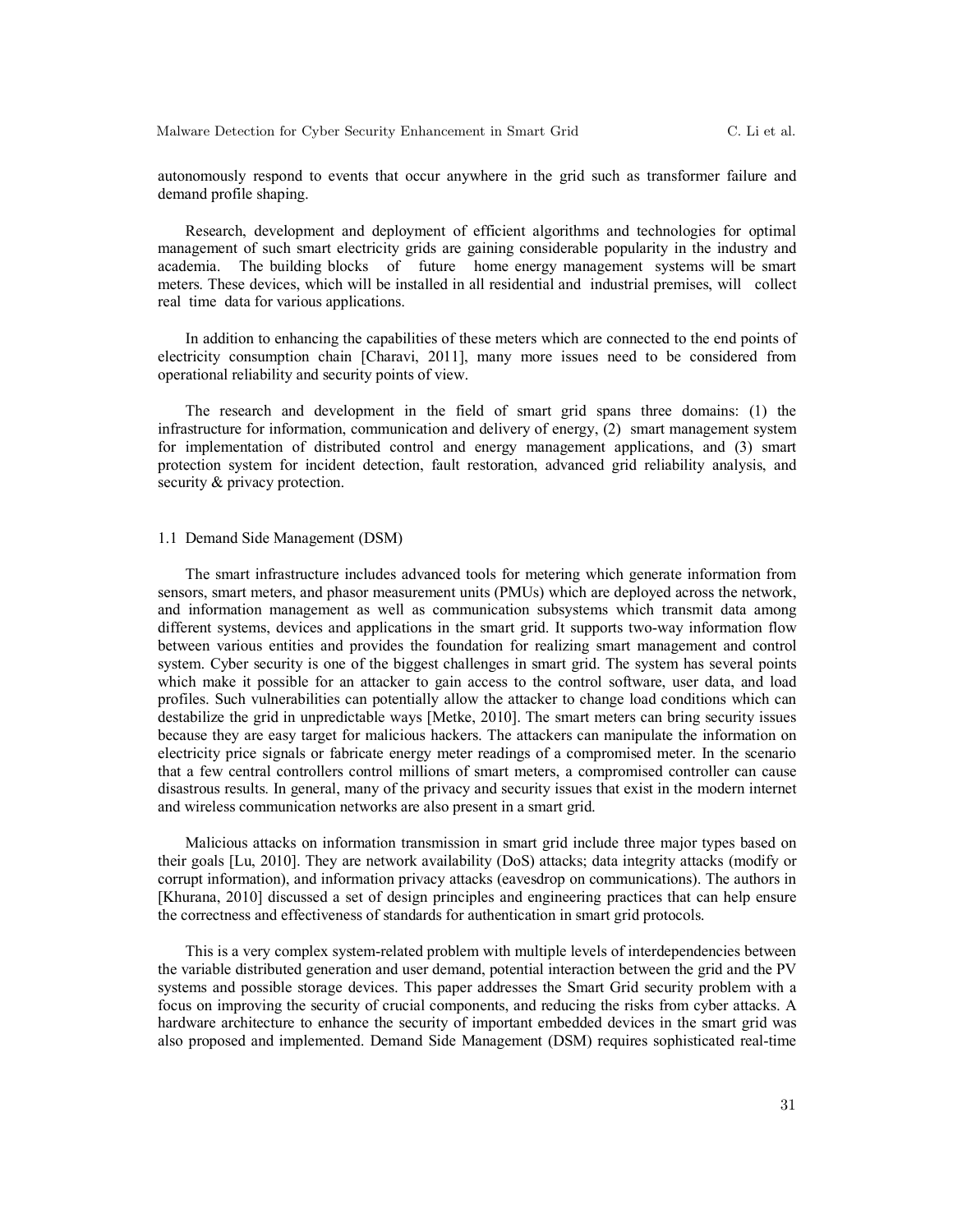autonomously respond to events that occur anywhere in the grid such as transformer failure and demand profile shaping.

Research, development and deployment of efficient algorithms and technologies for optimal management of such smart electricity grids are gaining considerable popularity in the industry and academia. The building blocks of future home energy management systems will be smart meters. These devices, which will be installed in all residential and industrial premises, will collect real time data for various applications.

In addition to enhancing the capabilities of these meters which are connected to the end points of electricity consumption chain [Charavi, 2011], many more issues need to be considered from operational reliability and security points of view.

The research and development in the field of smart grid spans three domains: (1) the infrastructure for information, communication and delivery of energy, (2) smart management system for implementation of distributed control and energy management applications, and (3) smart protection system for incident detection, fault restoration, advanced grid reliability analysis, and security  $&$  privacy protection.

#### 1.1 Demand Side Management (DSM)

The smart infrastructure includes advanced tools for metering which generate information from sensors, smart meters, and phasor measurement units (PMUs) which are deployed across the network, and information management as well as communication subsystems which transmit data among different systems, devices and applications in the smart grid. It supports two-way information flow between various entities and provides the foundation for realizing smart management and control system. Cyber security is one of the biggest challenges in smart grid. The system has several points which make it possible for an attacker to gain access to the control software, user data, and load profiles. Such vulnerabilities can potentially allow the attacker to change load conditions which can destabilize the grid in unpredictable ways [Metke, 2010]. The smart meters can bring security issues because they are easy target for malicious hackers. The attackers can manipulate the information on electricity price signals or fabricate energy meter readings of a compromised meter. In the scenario that a few central controllers control millions of smart meters, a compromised controller can cause disastrous results. In general, many of the privacy and security issues that exist in the modern internet and wireless communication networks are also present in a smart grid.

Malicious attacks on information transmission in smart grid include three major types based on their goals [Lu, 2010]. They are network availability (DoS) attacks; data integrity attacks (modify or corrupt information), and information privacy attacks (eavesdrop on communications). The authors in [Khurana, 2010] discussed a set of design principles and engineering practices that can help ensure the correctness and effectiveness of standards for authentication in smart grid protocols.

This is a very complex system-related problem with multiple levels of interdependencies between the variable distributed generation and user demand, potential interaction between the grid and the PV systems and possible storage devices. This paper addresses the Smart Grid security problem with a focus on improving the security of crucial components, and reducing the risks from cyber attacks. A hardware architecture to enhance the security of important embedded devices in the smart grid was also proposed and implemented. Demand Side Management (DSM) requires sophisticated real-time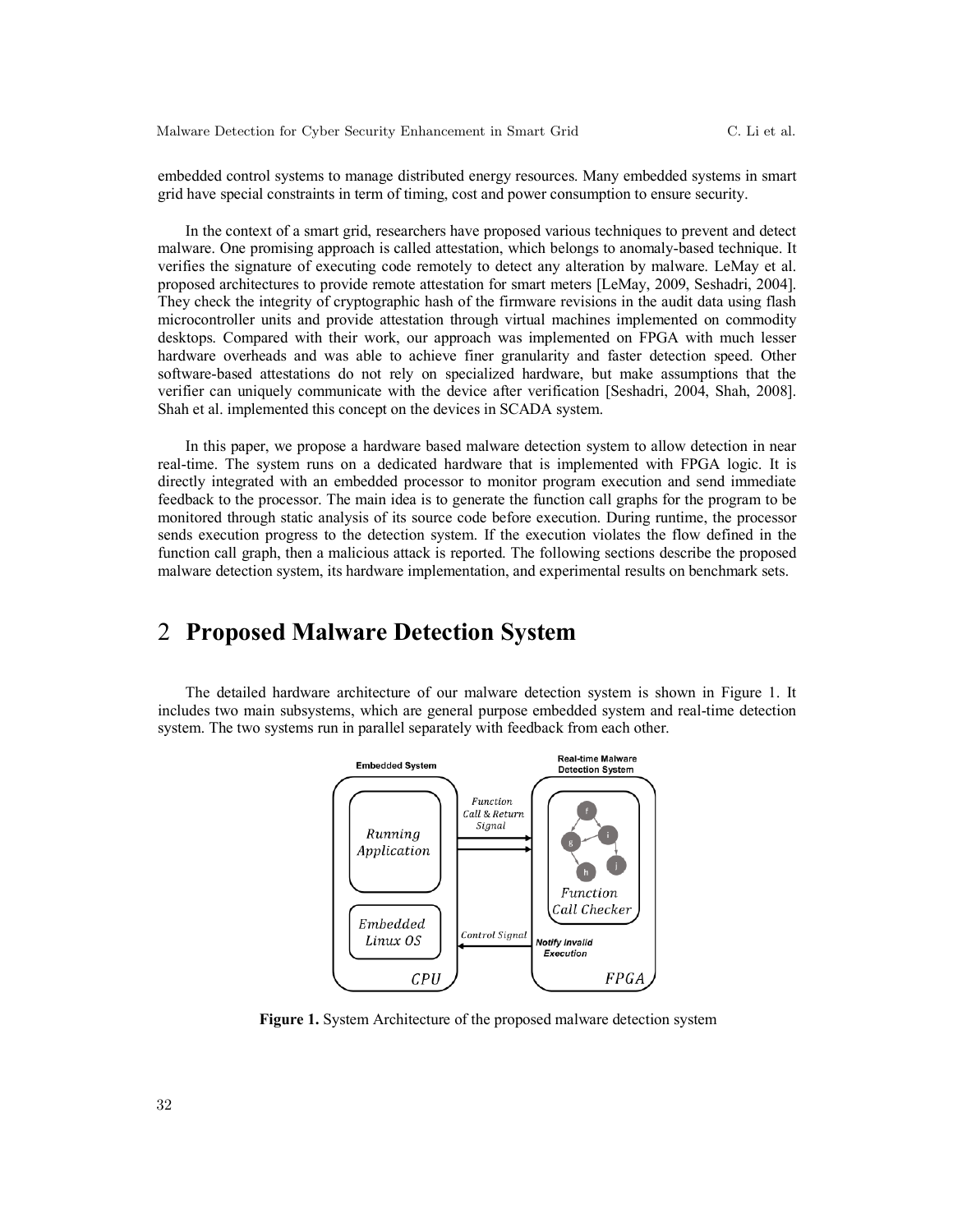embedded control systems to manage distributed energy resources. Many embedded systems in smart grid have special constraints in term of timing, cost and power consumption to ensure security.

In the context of a smart grid, researchers have proposed various techniques to prevent and detect malware. One promising approach is called attestation, which belongs to anomaly-based technique. It verifies the signature of executing code remotely to detect any alteration by malware. LeMay et al. proposed architectures to provide remote attestation for smart meters [LeMay, 2009, Seshadri, 2004]. They check the integrity of cryptographic hash of the firmware revisions in the audit data using flash microcontroller units and provide attestation through virtual machines implemented on commodity desktops. Compared with their work, our approach was implemented on FPGA with much lesser hardware overheads and was able to achieve finer granularity and faster detection speed. Other software-based attestations do not rely on specialized hardware, but make assumptions that the verifier can uniquely communicate with the device after verification [Seshadri, 2004, Shah, 2008]. Shah et al. implemented this concept on the devices in SCADA system.

In this paper, we propose a hardware based malware detection system to allow detection in near real-time. The system runs on a dedicated hardware that is implemented with FPGA logic. It is directly integrated with an embedded processor to monitor program execution and send immediate feedback to the processor. The main idea is to generate the function call graphs for the program to be monitored through static analysis of its source code before execution. During runtime, the processor sends execution progress to the detection system. If the execution violates the flow defined in the function call graph, then a malicious attack is reported. The following sections describe the proposed malware detection system, its hardware implementation, and experimental results on benchmark sets.

### 2 **Proposed Malware Detection System**

The detailed hardware architecture of our malware detection system is shown in Figure 1. It includes two main subsystems, which are general purpose embedded system and real-time detection system. The two systems run in parallel separately with feedback from each other.



**Figure 1.** System Architecture of the proposed malware detection system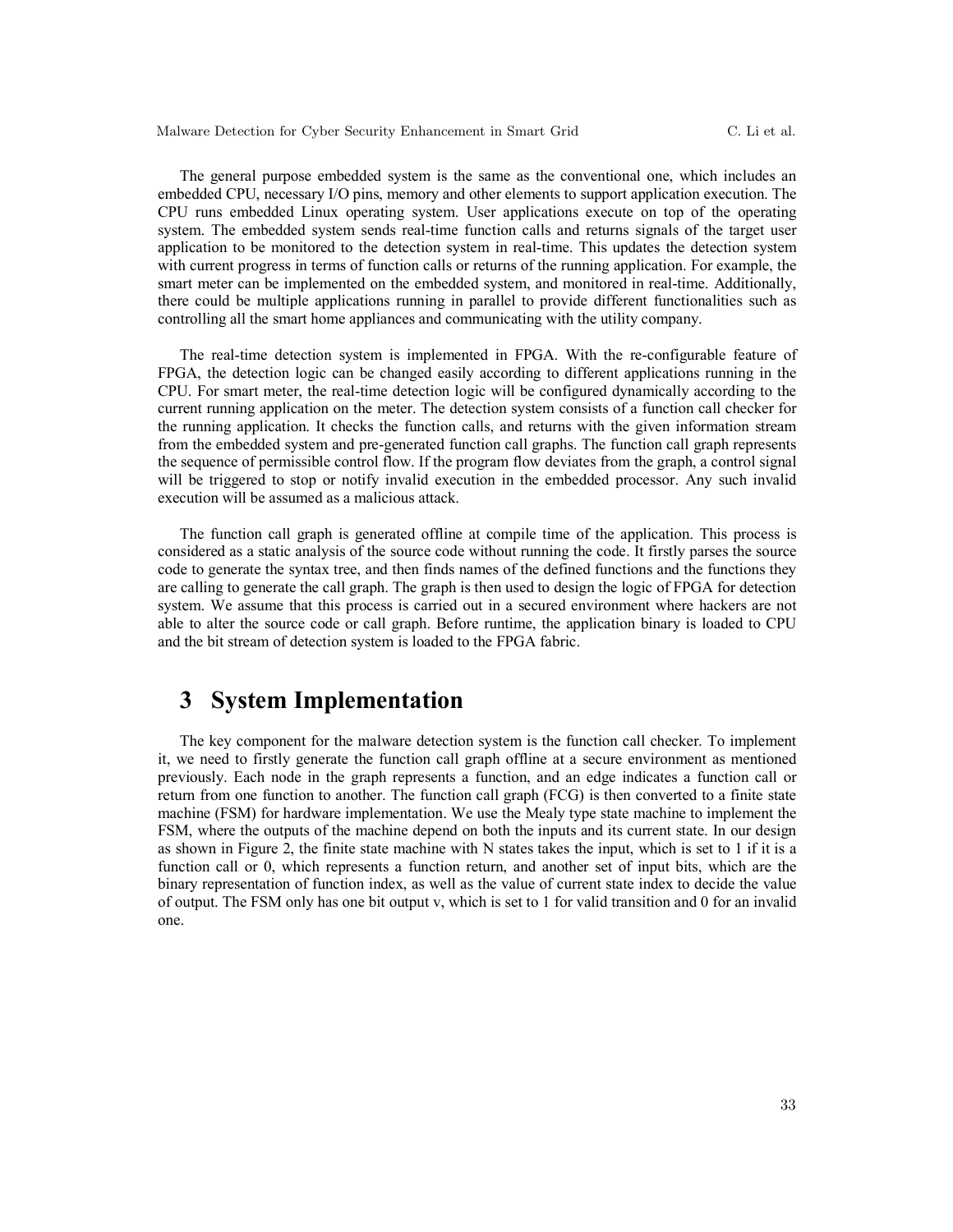The general purpose embedded system is the same as the conventional one, which includes an embedded CPU, necessary I/O pins, memory and other elements to support application execution. The CPU runs embedded Linux operating system. User applications execute on top of the operating system. The embedded system sends real-time function calls and returns signals of the target user application to be monitored to the detection system in real-time. This updates the detection system with current progress in terms of function calls or returns of the running application. For example, the smart meter can be implemented on the embedded system, and monitored in real-time. Additionally, there could be multiple applications running in parallel to provide different functionalities such as controlling all the smart home appliances and communicating with the utility company.

The real-time detection system is implemented in FPGA. With the re-configurable feature of FPGA, the detection logic can be changed easily according to different applications running in the CPU. For smart meter, the real-time detection logic will be configured dynamically according to the current running application on the meter. The detection system consists of a function call checker for the running application. It checks the function calls, and returns with the given information stream from the embedded system and pre-generated function call graphs. The function call graph represents the sequence of permissible control flow. If the program flow deviates from the graph, a control signal will be triggered to stop or notify invalid execution in the embedded processor. Any such invalid execution will be assumed as a malicious attack.

The function call graph is generated offline at compile time of the application. This process is considered as a static analysis of the source code without running the code. It firstly parses the source code to generate the syntax tree, and then finds names of the defined functions and the functions they are calling to generate the call graph. The graph is then used to design the logic of FPGA for detection system. We assume that this process is carried out in a secured environment where hackers are not able to alter the source code or call graph. Before runtime, the application binary is loaded to CPU and the bit stream of detection system is loaded to the FPGA fabric.

### **3 System Implementation**

The key component for the malware detection system is the function call checker. To implement it, we need to firstly generate the function call graph offline at a secure environment as mentioned previously. Each node in the graph represents a function, and an edge indicates a function call or return from one function to another. The function call graph (FCG) is then converted to a finite state machine (FSM) for hardware implementation. We use the Mealy type state machine to implement the FSM, where the outputs of the machine depend on both the inputs and its current state. In our design as shown in Figure 2, the finite state machine with N states takes the input, which is set to 1 if it is a function call or 0, which represents a function return, and another set of input bits, which are the binary representation of function index, as well as the value of current state index to decide the value of output. The FSM only has one bit output v, which is set to 1 for valid transition and 0 for an invalid one.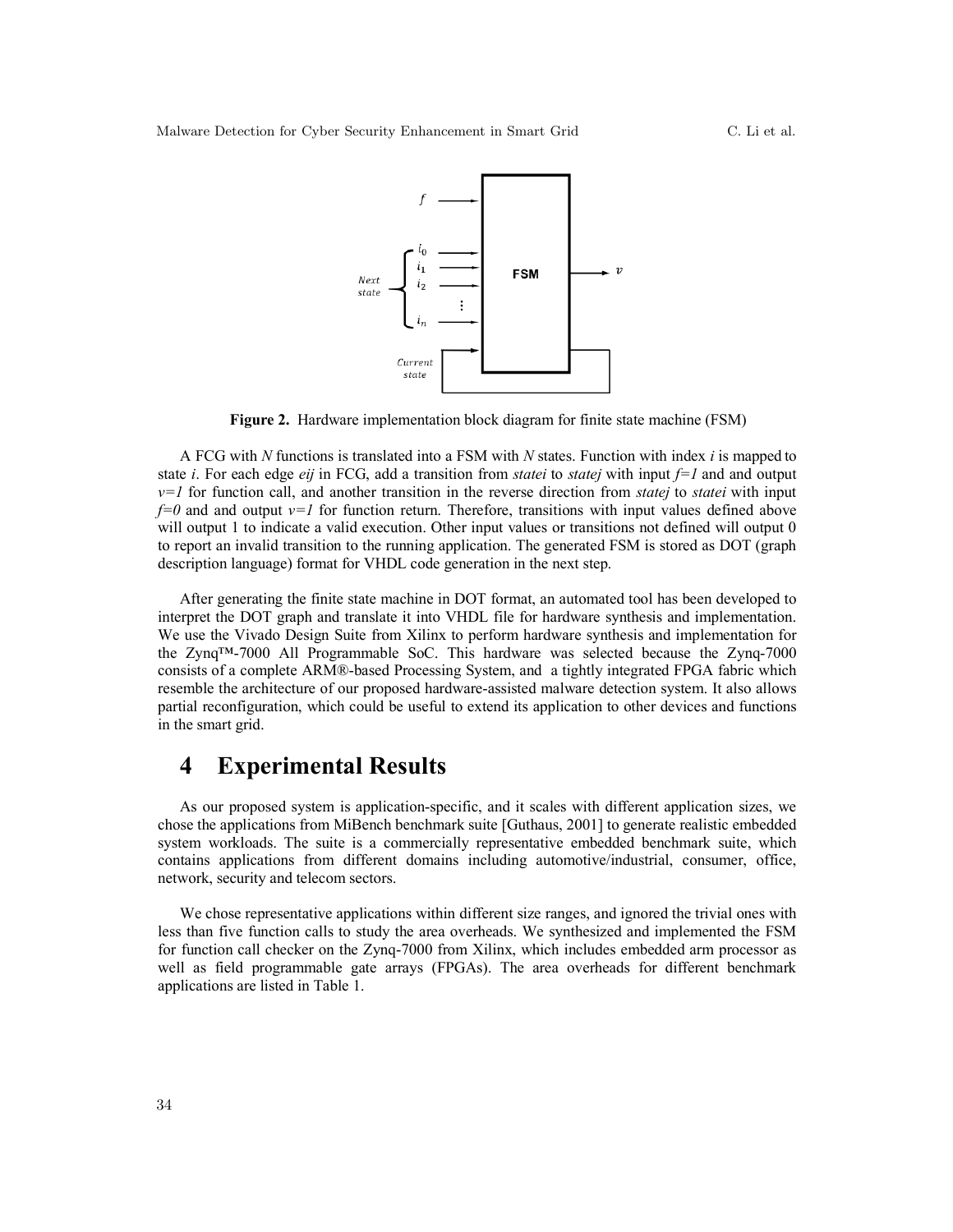

**Figure 2.** Hardware implementation block diagram for finite state machine (FSM)

A FCG with *N* functions is translated into a FSM with *N* states. Function with index *i* is mapped to state *i*. For each edge *eij* in FCG, add a transition from *statei* to *statej* with input *f=1* and and output *v=1* for function call, and another transition in the reverse direction from *statej* to *statei* with input *f=0* and and output *v=1* for function return. Therefore, transitions with input values defined above will output 1 to indicate a valid execution. Other input values or transitions not defined will output 0 to report an invalid transition to the running application. The generated FSM is stored as DOT (graph description language) format for VHDL code generation in the next step.

After generating the finite state machine in DOT format, an automated tool has been developed to interpret the DOT graph and translate it into VHDL file for hardware synthesis and implementation. We use the Vivado Design Suite from Xilinx to perform hardware synthesis and implementation for the Zynq™-7000 All Programmable SoC. This hardware was selected because the Zynq-7000 consists of a complete ARM®-based Processing System, and a tightly integrated FPGA fabric which resemble the architecture of our proposed hardware-assisted malware detection system. It also allows partial reconfiguration, which could be useful to extend its application to other devices and functions in the smart grid.

## **4 Experimental Results**

As our proposed system is application-specific, and it scales with different application sizes, we chose the applications from MiBench benchmark suite [Guthaus, 2001] to generate realistic embedded system workloads. The suite is a commercially representative embedded benchmark suite, which contains applications from different domains including automotive/industrial, consumer, office, network, security and telecom sectors.

We chose representative applications within different size ranges, and ignored the trivial ones with less than five function calls to study the area overheads. We synthesized and implemented the FSM for function call checker on the Zynq-7000 from Xilinx, which includes embedded arm processor as well as field programmable gate arrays (FPGAs). The area overheads for different benchmark applications are listed in Table 1.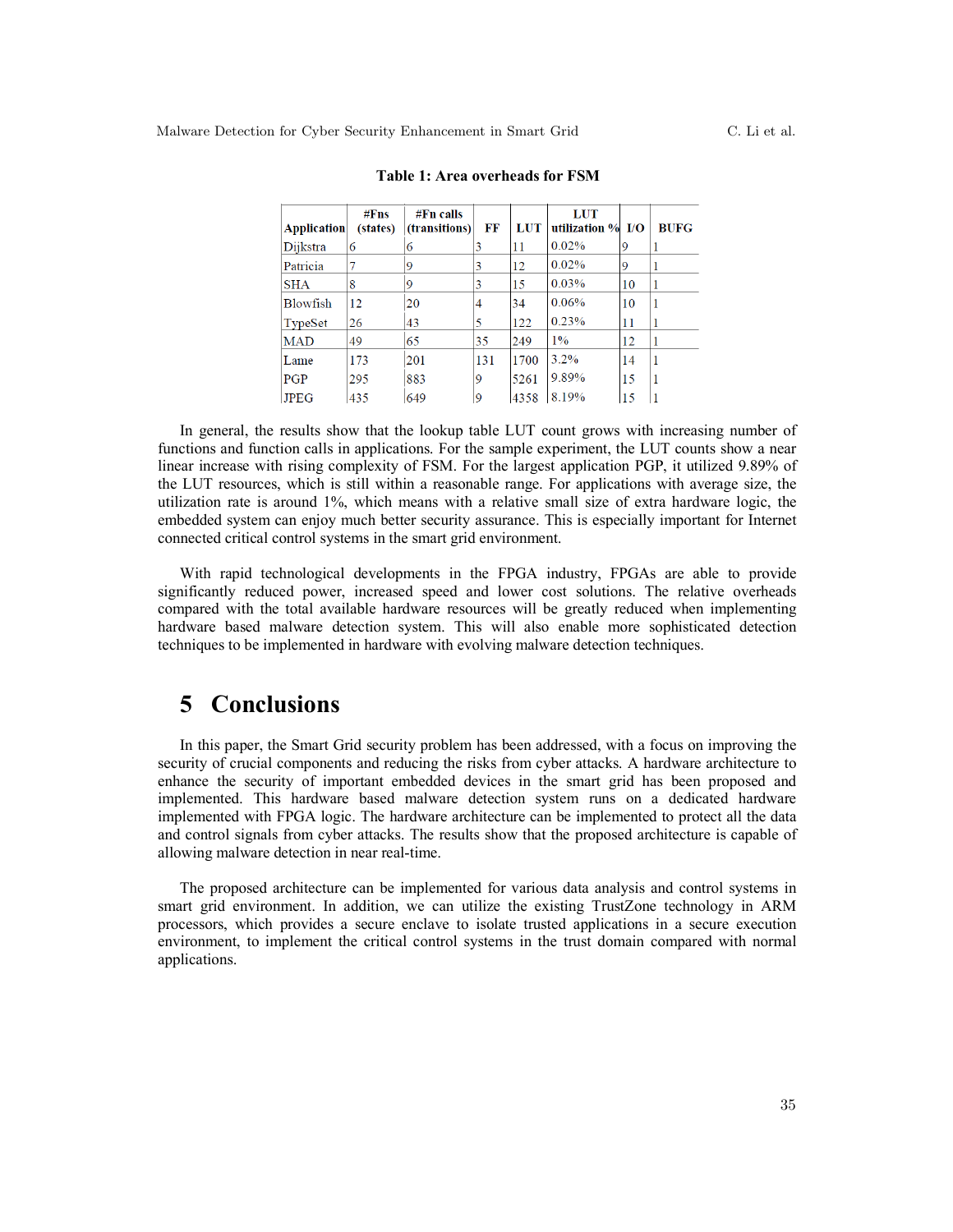| <b>Application</b> | #Fns<br>(states) | $#Fn$ calls<br><i>(transitions)</i> | FF  | LUT  | <b>LUT</b><br>utilization $%$ I/O |    | <b>BUFG</b> |
|--------------------|------------------|-------------------------------------|-----|------|-----------------------------------|----|-------------|
| Dijkstra           | 6                | 6                                   | 3   | 11   | 0.02%                             | 9  |             |
| Patricia           |                  | 19                                  | 3   | 12   | 0.02%                             | 9  |             |
| <b>SHA</b>         | 8                | 9                                   | 3   | 15   | $0.03\%$                          | 10 |             |
| <b>Blowfish</b>    | 12               | 20                                  | 4   | 34   | 0.06%                             | 10 |             |
| TypeSet            | 26               | 43                                  | 5   | 122  | 0.23%                             | 11 |             |
| <b>MAD</b>         | 49               | 65                                  | 35  | 249  | 1%                                | 12 |             |
| Lame               | 173              | 201                                 | 131 | 1700 | $3.2\%$                           | 14 |             |
| PGP                | 295              | 883                                 | 9   | 5261 | 9.89%                             | 15 |             |
| <b>JPEG</b>        | 435              | 649                                 | 9   | 4358 | 8.19%                             | 15 |             |

**Table 1: Area overheads for FSM**

In general, the results show that the lookup table LUT count grows with increasing number of functions and function calls in applications. For the sample experiment, the LUT counts show a near linear increase with rising complexity of FSM. For the largest application PGP, it utilized 9.89% of the LUT resources, which is still within a reasonable range. For applications with average size, the utilization rate is around 1%, which means with a relative small size of extra hardware logic, the embedded system can enjoy much better security assurance. This is especially important for Internet connected critical control systems in the smart grid environment.

With rapid technological developments in the FPGA industry, FPGAs are able to provide significantly reduced power, increased speed and lower cost solutions. The relative overheads compared with the total available hardware resources will be greatly reduced when implementing hardware based malware detection system. This will also enable more sophisticated detection techniques to be implemented in hardware with evolving malware detection techniques.

### **5 Conclusions**

In this paper, the Smart Grid security problem has been addressed, with a focus on improving the security of crucial components and reducing the risks from cyber attacks. A hardware architecture to enhance the security of important embedded devices in the smart grid has been proposed and implemented. This hardware based malware detection system runs on a dedicated hardware implemented with FPGA logic. The hardware architecture can be implemented to protect all the data and control signals from cyber attacks. The results show that the proposed architecture is capable of allowing malware detection in near real-time.

The proposed architecture can be implemented for various data analysis and control systems in smart grid environment. In addition, we can utilize the existing TrustZone technology in ARM processors, which provides a secure enclave to isolate trusted applications in a secure execution environment, to implement the critical control systems in the trust domain compared with normal applications.